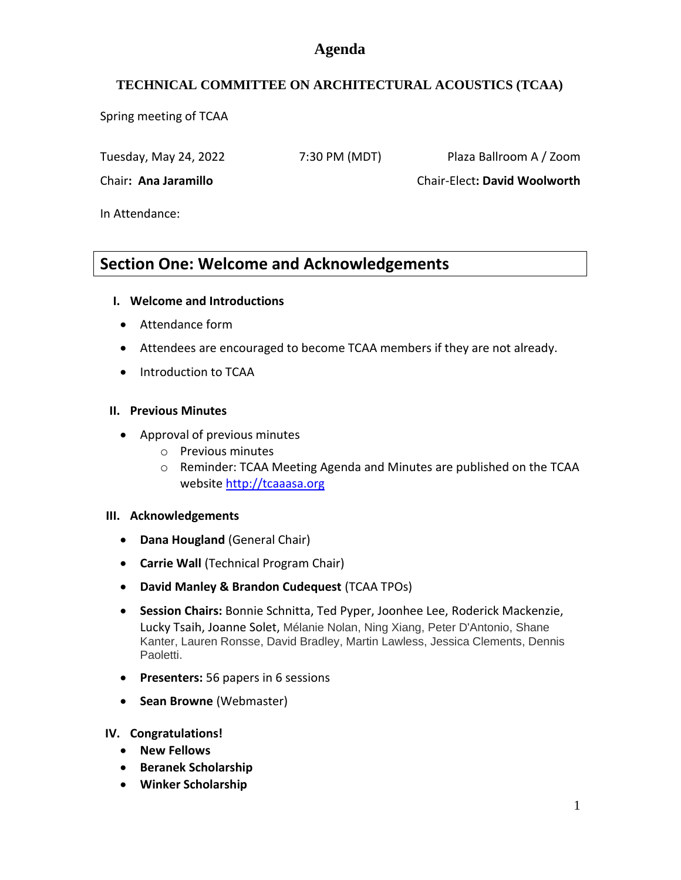## **Agenda**

## **TECHNICAL COMMITTEE ON ARCHITECTURAL ACOUSTICS (TCAA)**

Spring meeting of TCAA

Tuesday, May 24, 2022 7:30 PM (MDT) Plaza Ballroom A / Zoom

Chair**: Ana Jaramillo** Chair-Elect**: David Woolworth**

In Attendance:

# **Section One: Welcome and Acknowledgements**

## **I. Welcome and Introductions**

- Attendance form
- Attendees are encouraged to become TCAA members if they are not already.
- Introduction to TCAA

## **II. Previous Minutes**

- Approval of previous minutes
	- o Previous minutes
	- o Reminder: TCAA Meeting Agenda and Minutes are published on the TCAA website [http://tcaaasa.org](http://tcaaasa.org/)

## **III. Acknowledgements**

- **Dana Hougland** (General Chair)
- **Carrie Wall** (Technical Program Chair)
- **David Manley & Brandon Cudequest** (TCAA TPOs)
- **Session Chairs:** Bonnie Schnitta, Ted Pyper, Joonhee Lee, Roderick Mackenzie, Lucky Tsaih, Joanne Solet, Mélanie Nolan, Ning Xiang, Peter D'Antonio, Shane Kanter, Lauren Ronsse, David Bradley, Martin Lawless, Jessica Clements, Dennis Paoletti.
- **Presenters:** 56 papers in 6 sessions
- **Sean Browne** (Webmaster)

**IV. Congratulations!**

- **New Fellows**
- **Beranek Scholarship**
- **Winker Scholarship**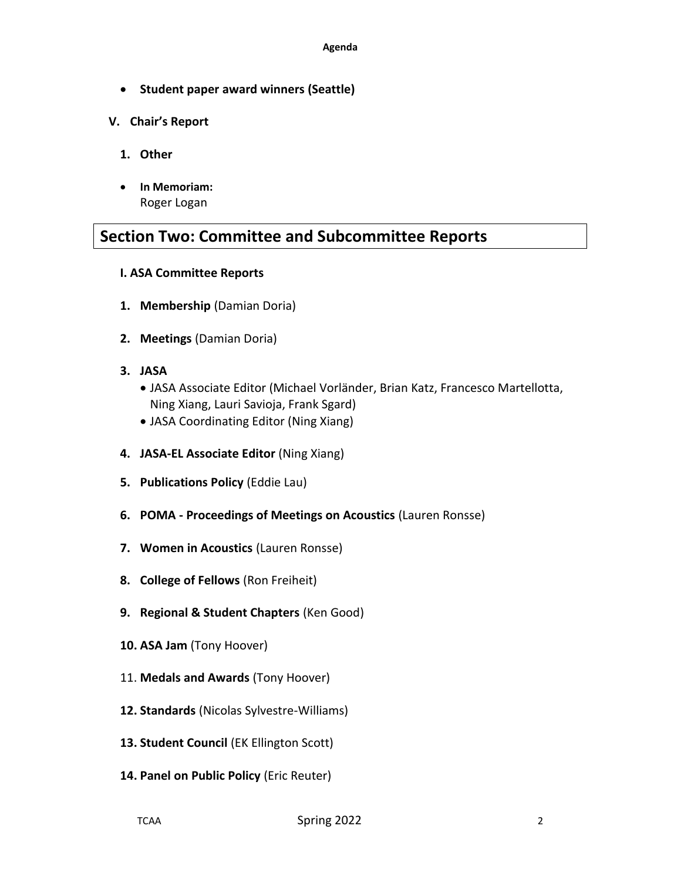- **Student paper award winners (Seattle)**
- **V. Chair's Report**
	- **1. Other**
	- **In Memoriam:** Roger Logan

# **Section Two: Committee and Subcommittee Reports**

- **I. ASA Committee Reports**
- **1. Membership** (Damian Doria)
- **2. Meetings** (Damian Doria)
- **3. JASA** 
	- JASA Associate Editor (Michael Vorländer, Brian Katz, Francesco Martellotta, Ning Xiang, Lauri Savioja, Frank Sgard)
	- JASA Coordinating Editor (Ning Xiang)
- **4. JASA-EL Associate Editor** (Ning Xiang)
- **5. Publications Policy** (Eddie Lau)
- **6. POMA - Proceedings of Meetings on Acoustics** (Lauren Ronsse)
- **7. Women in Acoustics** (Lauren Ronsse)
- **8. College of Fellows** (Ron Freiheit)
- **9. Regional & Student Chapters** (Ken Good)
- **10. ASA Jam** (Tony Hoover)
- 11. **Medals and Awards** (Tony Hoover)
- **12. Standards** (Nicolas Sylvestre-Williams)
- **13. Student Council** (EK Ellington Scott)
- **14. Panel on Public Policy** (Eric Reuter)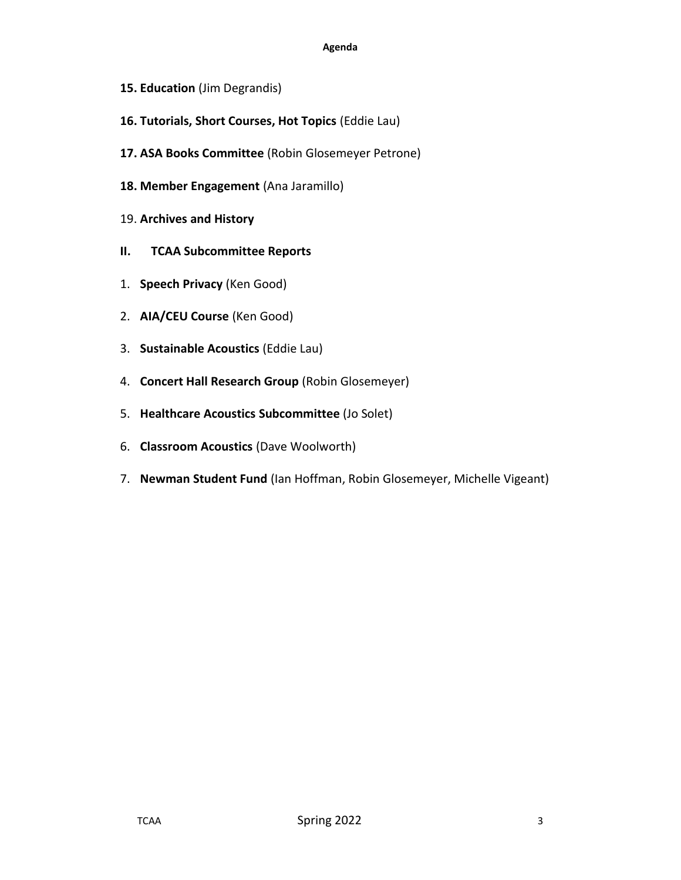#### **Agenda**

- **15. Education** (Jim Degrandis)
- **16. Tutorials, Short Courses, Hot Topics** (Eddie Lau)
- **17. ASA Books Committee** (Robin Glosemeyer Petrone)
- **18. Member Engagement** (Ana Jaramillo)
- 19. **Archives and History**
- **II. TCAA Subcommittee Reports**
- 1. **Speech Privacy** (Ken Good)
- 2. **AIA/CEU Course** (Ken Good)
- 3. **Sustainable Acoustics** (Eddie Lau)
- 4. **Concert Hall Research Group** (Robin Glosemeyer)
- 5. **Healthcare Acoustics Subcommittee** (Jo Solet)
- 6. **Classroom Acoustics** (Dave Woolworth)
- 7. **Newman Student Fund** (Ian Hoffman, Robin Glosemeyer, Michelle Vigeant)